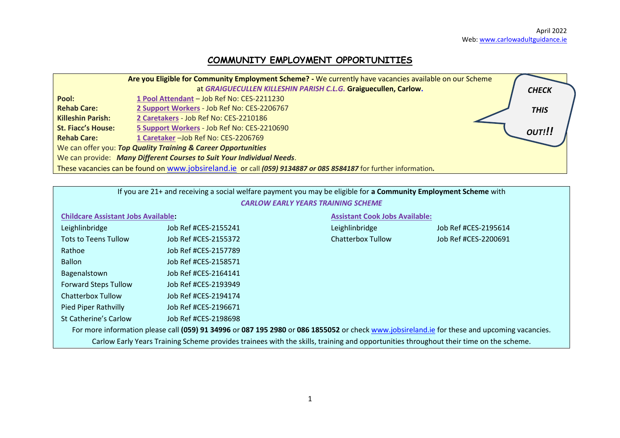# **COMMUNITY EMPLOYMENT OPPORTUNITIES**

|                                                                       | Are you Eligible for Community Employment Scheme? - We currently have vacancies available on our Scheme          |  |              |  |  |  |  |
|-----------------------------------------------------------------------|------------------------------------------------------------------------------------------------------------------|--|--------------|--|--|--|--|
|                                                                       | at GRAIGUECULLEN KILLESHIN PARISH C.L.G. Graiguecullen, Carlow.                                                  |  | <b>CHECK</b> |  |  |  |  |
| Pool:                                                                 | 1 Pool Attendant - Job Ref No: CES-2211230                                                                       |  |              |  |  |  |  |
| <b>Rehab Care:</b>                                                    | 2 Support Workers - Job Ref No: CES-2206767                                                                      |  | <b>THIS</b>  |  |  |  |  |
| <b>Killeshin Parish:</b>                                              | 2 Caretakers - Job Ref No: CES-2210186                                                                           |  |              |  |  |  |  |
| <b>St. Fiacc's House:</b>                                             | 5 Support Workers - Job Ref No: CES-2210690                                                                      |  | OUT!!!       |  |  |  |  |
| <b>Rehab Care:</b>                                                    | 1 Caretaker - Job Ref No: CES-2206769                                                                            |  |              |  |  |  |  |
|                                                                       | We can offer you: Top Quality Training & Career Opportunities                                                    |  |              |  |  |  |  |
| We can provide: Many Different Courses to Suit Your Individual Needs. |                                                                                                                  |  |              |  |  |  |  |
|                                                                       | These vacancies can be found on www.jobsireland.ie or call (059) 9134887 or 085 8584187 for further information. |  |              |  |  |  |  |

| If you are 21+ and receiving a social welfare payment you may be eligible for a Community Employment Scheme with                             |                      |                          |                                       |  |  |  |  |  |  |  |
|----------------------------------------------------------------------------------------------------------------------------------------------|----------------------|--------------------------|---------------------------------------|--|--|--|--|--|--|--|
| <b>CARLOW EARLY YEARS TRAINING SCHEME</b>                                                                                                    |                      |                          |                                       |  |  |  |  |  |  |  |
| <b>Childcare Assistant Jobs Available:</b>                                                                                                   |                      |                          | <b>Assistant Cook Jobs Available:</b> |  |  |  |  |  |  |  |
| Leighlinbridge                                                                                                                               | Job Ref #CES-2155241 | Leighlinbridge           | Job Ref #CES-2195614                  |  |  |  |  |  |  |  |
| Tots to Teens Tullow                                                                                                                         | Job Ref #CES-2155372 | <b>Chatterbox Tullow</b> | Job Ref #CES-2200691                  |  |  |  |  |  |  |  |
| Rathoe                                                                                                                                       | Job Ref #CES-2157789 |                          |                                       |  |  |  |  |  |  |  |
| <b>Ballon</b>                                                                                                                                | Job Ref #CES-2158571 |                          |                                       |  |  |  |  |  |  |  |
| Bagenalstown                                                                                                                                 | Job Ref #CES-2164141 |                          |                                       |  |  |  |  |  |  |  |
| <b>Forward Steps Tullow</b>                                                                                                                  | Job Ref #CES-2193949 |                          |                                       |  |  |  |  |  |  |  |
| Chatterbox Tullow                                                                                                                            | Job Ref #CES-2194174 |                          |                                       |  |  |  |  |  |  |  |
| Pied Piper Rathvilly                                                                                                                         | Job Ref #CES-2196671 |                          |                                       |  |  |  |  |  |  |  |
| St Catherine's Carlow<br>Job Ref #CES-2198698                                                                                                |                      |                          |                                       |  |  |  |  |  |  |  |
| For more information please call (059) 91 34996 or 087 195 2980 or 086 1855052 or check www.jobsireland.ie for these and upcoming vacancies. |                      |                          |                                       |  |  |  |  |  |  |  |
| Carlow Early Years Training Scheme provides trainees with the skills, training and opportunities throughout their time on the scheme.        |                      |                          |                                       |  |  |  |  |  |  |  |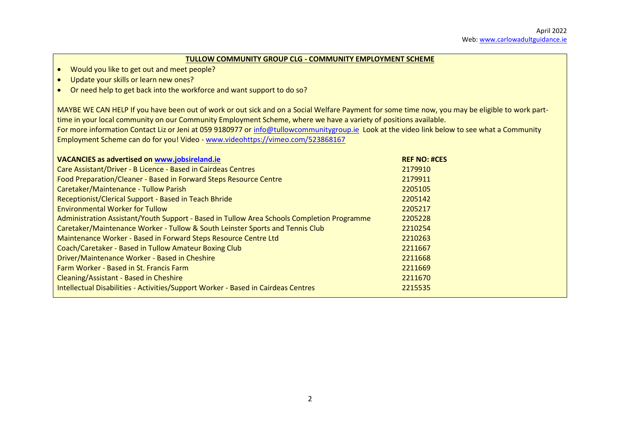#### **TULLOW COMMUNITY GROUP CLG - COMMUNITY EMPLOYMENT SCHEME**

- Would you like to get out and meet people?
- Update your skills or learn new ones?
- Or need help to get back into the workforce and want support to do so?

MAYBE WE CAN HELP If you have been out of work or out sick and on a Social Welfare Payment for some time now, you may be eligible to work parttime in your local community on our Community Employment Scheme, where we have a variety of positions available. For more information Contact Liz or Jeni at 059 9180977 or [info@tullowcommunitygroup.ie](mailto:info@tullowcommunitygroup.ie) Look at the video link below to see what a Community Employment Scheme can do for you! Video - [www.videohttps://vimeo.com/523868167](http://www.videohttps/vimeo.com/523868167) 

| <b>VACANCIES as advertised on www.jobsireland.ie</b>                                       | <b>REF NO: #CES</b> |
|--------------------------------------------------------------------------------------------|---------------------|
| Care Assistant/Driver - B Licence - Based in Cairdeas Centres                              | 2179910             |
| Food Preparation/Cleaner - Based in Forward Steps Resource Centre                          | 2179911             |
| Caretaker/Maintenance - Tullow Parish                                                      | 2205105             |
| Receptionist/Clerical Support - Based in Teach Bhride                                      | 2205142             |
| <b>Environmental Worker for Tullow</b>                                                     | 2205217             |
| Administration Assistant/Youth Support - Based in Tullow Area Schools Completion Programme | 2205228             |
| Caretaker/Maintenance Worker - Tullow & South Leinster Sports and Tennis Club              | 2210254             |
| Maintenance Worker - Based in Forward Steps Resource Centre Ltd                            | 2210263             |
| Coach/Caretaker - Based in Tullow Amateur Boxing Club                                      | 2211667             |
| Driver/Maintenance Worker - Based in Cheshire                                              | 2211668             |
| Farm Worker - Based in St. Francis Farm                                                    | 2211669             |
| Cleaning/Assistant - Based in Cheshire                                                     | 2211670             |
| Intellectual Disabilities - Activities/Support Worker - Based in Cairdeas Centres          | 2215535             |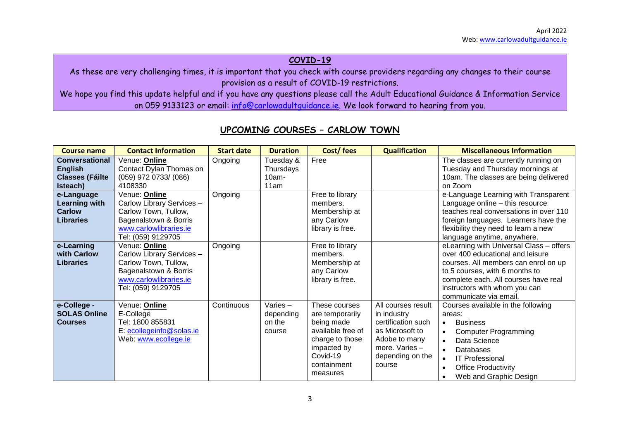### **COVID-19**

As these are very challenging times, it is important that you check with course providers regarding any changes to their course provision as a result of COVID-19 restrictions.

We hope you find this update helpful and if you have any questions please call the Adult Educational Guidance & Information Service on 059 9133123 or email: [info@carlowadultguidance.ie.](mailto:info@carlowadultguidance.ie) We look forward to hearing from you.

| <b>Course name</b>                                                            | <b>Contact Information</b>                                                                                                                  | <b>Start date</b> | <b>Duration</b>                            | Cost/fees                                                                                                                                    | <b>Qualification</b>                                                                                                                        | <b>Miscellaneous Information</b>                                                                                                                                                                                                                                  |
|-------------------------------------------------------------------------------|---------------------------------------------------------------------------------------------------------------------------------------------|-------------------|--------------------------------------------|----------------------------------------------------------------------------------------------------------------------------------------------|---------------------------------------------------------------------------------------------------------------------------------------------|-------------------------------------------------------------------------------------------------------------------------------------------------------------------------------------------------------------------------------------------------------------------|
| <b>Conversational</b><br><b>English</b><br><b>Classes (Fáilte</b><br>Isteach) | Venue: Online<br>Contact Dylan Thomas on<br>(059) 972 0733/ (086)<br>4108330                                                                | Ongoing           | Tuesday &<br>Thursdays<br>$10am -$<br>11am | Free                                                                                                                                         |                                                                                                                                             | The classes are currently running on<br>Tuesday and Thursday mornings at<br>10am. The classes are being delivered<br>on Zoom                                                                                                                                      |
| e-Language<br>Learning with<br><b>Carlow</b><br><b>Libraries</b>              | Venue: Online<br>Carlow Library Services -<br>Carlow Town, Tullow,<br>Bagenalstown & Borris<br>www.carlowlibraries.ie<br>Tel: (059) 9129705 | Ongoing           |                                            | Free to library<br>members.<br>Membership at<br>any Carlow<br>library is free.                                                               |                                                                                                                                             | e-Language Learning with Transparent<br>Language online - this resource<br>teaches real conversations in over 110<br>foreign languages. Learners have the<br>flexibility they need to learn a new<br>language anytime, anywhere.                                  |
| e-Learning<br>with Carlow<br><b>Libraries</b>                                 | Venue: Online<br>Carlow Library Services -<br>Carlow Town, Tullow,<br>Bagenalstown & Borris<br>www.carlowlibraries.ie<br>Tel: (059) 9129705 | Ongoing           |                                            | Free to library<br>members.<br>Membership at<br>any Carlow<br>library is free.                                                               |                                                                                                                                             | eLearning with Universal Class - offers<br>over 400 educational and leisure<br>courses. All members can enrol on up<br>to 5 courses, with 6 months to<br>complete each. All courses have real<br>instructors with whom you can<br>communicate via email.          |
| e-College -<br><b>SOLAS Online</b><br><b>Courses</b>                          | Venue: <b>Online</b><br>E-College<br>Tel: 1800 855831<br>E: ecollegeinfo@solas.ie<br>Web: www.ecollege.ie                                   | Continuous        | Varies-<br>depending<br>on the<br>course   | These courses<br>are temporarily<br>being made<br>available free of<br>charge to those<br>impacted by<br>Covid-19<br>containment<br>measures | All courses result<br>in industry<br>certification such<br>as Microsoft to<br>Adobe to many<br>more. Varies -<br>depending on the<br>course | Courses available in the following<br>areas:<br><b>Business</b><br>$\bullet$<br><b>Computer Programming</b><br>Data Science<br>$\bullet$<br>Databases<br><b>IT Professional</b><br>$\bullet$<br><b>Office Productivity</b><br>$\bullet$<br>Web and Graphic Design |

### **UPCOMING COURSES – CARLOW TOWN**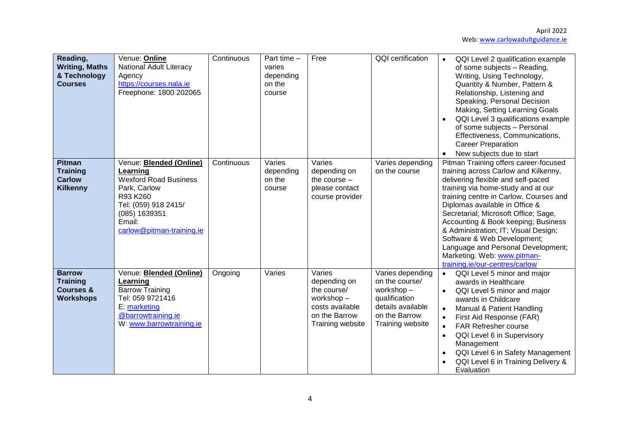| Reading,<br><b>Writing, Maths</b><br>& Technology<br><b>Courses</b>          | Venue: Online<br><b>National Adult Literacy</b><br>Agency<br>https://courses.nala.ie<br>Freephone: 1800 202065                                                                         | Continuous | Part time $-$<br>varies<br>depending<br>on the<br>course | Free                                                                                                       | <b>QQI</b> certification                                                                                                   | QQI Level 2 qualification example<br>$\bullet$<br>of some subjects - Reading,<br>Writing, Using Technology,<br>Quantity & Number, Pattern &<br>Relationship, Listening and<br>Speaking, Personal Decision<br>Making, Setting Learning Goals<br>QQI Level 3 qualifications example<br>of some subjects - Personal<br>Effectiveness, Communications,<br><b>Career Preparation</b><br>New subjects due to start                                                                                       |
|------------------------------------------------------------------------------|----------------------------------------------------------------------------------------------------------------------------------------------------------------------------------------|------------|----------------------------------------------------------|------------------------------------------------------------------------------------------------------------|----------------------------------------------------------------------------------------------------------------------------|----------------------------------------------------------------------------------------------------------------------------------------------------------------------------------------------------------------------------------------------------------------------------------------------------------------------------------------------------------------------------------------------------------------------------------------------------------------------------------------------------|
| <b>Pitman</b><br><b>Training</b><br><b>Carlow</b><br><b>Kilkenny</b>         | Venue: <b>Blended (Online)</b><br>Learning<br><b>Wexford Road Business</b><br>Park, Carlow<br>R93 K260<br>Tel: (059) 918 2415/<br>(085) 1639351<br>Email:<br>carlow@pitman-training.ie | Continuous | Varies<br>depending<br>on the<br>course                  | Varies<br>depending on<br>the course $-$<br>please contact<br>course provider                              | Varies depending<br>on the course                                                                                          | Pitman Training offers career-focused<br>training across Carlow and Kilkenny,<br>delivering flexible and self-paced<br>training via home-study and at our<br>training centre in Carlow. Courses and<br>Diplomas available in Office &<br>Secretarial; Microsoft Office; Sage,<br>Accounting & Book keeping; Business<br>& Administration; IT; Visual Design;<br>Software & Web Development;<br>Language and Personal Development;<br>Marketing. Web: www.pitman-<br>training.ie/our-centres/carlow |
| <b>Barrow</b><br><b>Training</b><br><b>Courses &amp;</b><br><b>Workshops</b> | Venue: <b>Blended (Online)</b><br>Learning<br><b>Barrow Training</b><br>Tel: 059 9721416<br>E: marketing<br>@barrowtraining.ie<br>W: www.barrowtraining.ie                             | Ongoing    | Varies                                                   | Varies<br>depending on<br>the course/<br>workshop-<br>costs available<br>on the Barrow<br>Training website | Varies depending<br>on the course/<br>workshop-<br>qualification<br>details available<br>on the Barrow<br>Training website | QQI Level 5 minor and major<br>$\bullet$<br>awards in Healthcare<br>QQI Level 5 minor and major<br>$\bullet$<br>awards in Childcare<br>Manual & Patient Handling<br>$\bullet$<br>First Aid Response (FAR)<br>$\bullet$<br><b>FAR Refresher course</b><br>$\bullet$<br>QQI Level 6 in Supervisory<br>$\bullet$<br>Management<br>QQI Level 6 in Safety Management<br>QQI Level 6 in Training Delivery &<br>Evaluation                                                                                |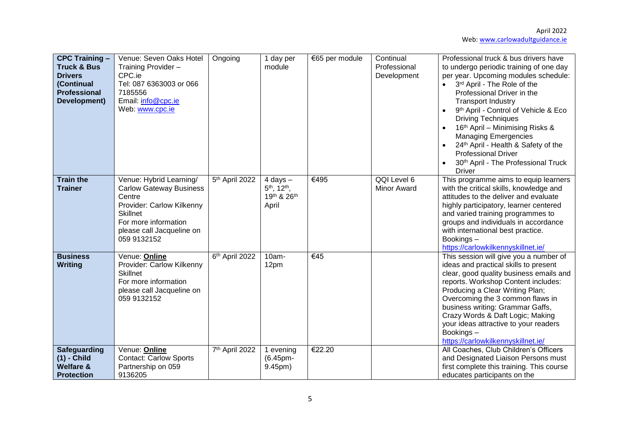| <b>CPC Training -</b><br><b>Truck &amp; Bus</b><br><b>Drivers</b><br>(Continual<br><b>Professional</b><br>Development) | Venue: Seven Oaks Hotel<br>Training Provider -<br>CPC.ie<br>Tel: 087 6363003 or 066<br>7185556<br>Email: info@cpc.ie<br>Web: www.cpc.ie                                                 | Ongoing                    | 1 day per<br>module                                                          | €65 per module | Continual<br>Professional<br>Development | Professional truck & bus drivers have<br>to undergo periodic training of one day<br>per year. Upcoming modules schedule:<br>3rd April - The Role of the<br>$\bullet$<br>Professional Driver in the<br><b>Transport Industry</b><br>9 <sup>th</sup> April - Control of Vehicle & Eco<br><b>Driving Techniques</b><br>16th April - Minimising Risks &<br><b>Managing Emergencies</b><br>24th April - Health & Safety of the<br><b>Professional Driver</b><br>30th April - The Professional Truck<br><b>Driver</b> |
|------------------------------------------------------------------------------------------------------------------------|-----------------------------------------------------------------------------------------------------------------------------------------------------------------------------------------|----------------------------|------------------------------------------------------------------------------|----------------|------------------------------------------|-----------------------------------------------------------------------------------------------------------------------------------------------------------------------------------------------------------------------------------------------------------------------------------------------------------------------------------------------------------------------------------------------------------------------------------------------------------------------------------------------------------------|
| <b>Train the</b><br><b>Trainer</b>                                                                                     | Venue: Hybrid Learning/<br><b>Carlow Gateway Business</b><br>Centre<br>Provider: Carlow Kilkenny<br><b>Skillnet</b><br>For more information<br>please call Jacqueline on<br>059 9132152 | 5 <sup>th</sup> April 2022 | $4$ days $-$<br>5 <sup>th</sup> , 12 <sup>th</sup> ,<br>19th & 26th<br>April | €495           | QQI Level 6<br><b>Minor Award</b>        | This programme aims to equip learners<br>with the critical skills, knowledge and<br>attitudes to the deliver and evaluate<br>highly participatory, learner centered<br>and varied training programmes to<br>groups and individuals in accordance<br>with international best practice.<br>Bookings-<br>https://carlowkilkennyskillnet.ie/                                                                                                                                                                        |
| <b>Business</b><br><b>Writing</b>                                                                                      | Venue: Online<br>Provider: Carlow Kilkenny<br><b>Skillnet</b><br>For more information<br>please call Jacqueline on<br>059 9132152                                                       | 6th April 2022             | 10am-<br>12pm                                                                | €45            |                                          | This session will give you a number of<br>ideas and practical skills to present<br>clear, good quality business emails and<br>reports. Workshop Content includes:<br>Producing a Clear Writing Plan;<br>Overcoming the 3 common flaws in<br>business writing: Grammar Gaffs,<br>Crazy Words & Daft Logic; Making<br>your ideas attractive to your readers<br>Bookings-<br>https://carlowkilkennyskillnet.ie/                                                                                                    |
| <b>Safeguarding</b><br>$(1)$ - Child<br><b>Welfare &amp;</b><br><b>Protection</b>                                      | Venue: Online<br><b>Contact: Carlow Sports</b><br>Partnership on 059<br>9136205                                                                                                         | 7 <sup>th</sup> April 2022 | 1 evening<br>(6.45pm-<br>9.45pm)                                             | €22.20         |                                          | All Coaches, Club Children's Officers<br>and Designated Liaison Persons must<br>first complete this training. This course<br>educates participants on the                                                                                                                                                                                                                                                                                                                                                       |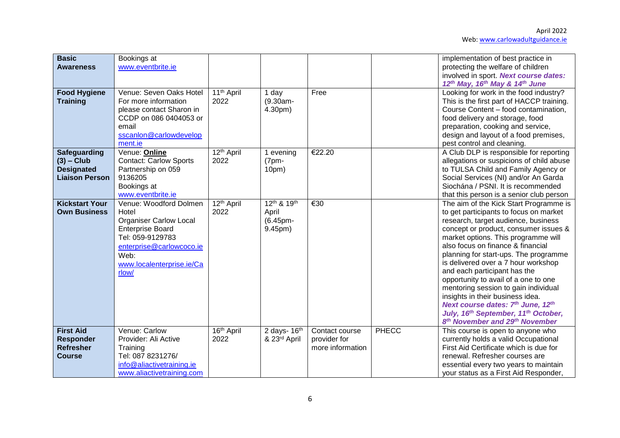| <b>Basic</b><br><b>Awareness</b>                                           | Bookings at<br>www.eventbrite.ie                                                                                                                                                          |                                |                                                       |                                                    |              | implementation of best practice in<br>protecting the welfare of children<br>involved in sport. Next course dates:                                                                                                                                                                                                                                                                                                                                                                                                                                                                                                                              |
|----------------------------------------------------------------------------|-------------------------------------------------------------------------------------------------------------------------------------------------------------------------------------------|--------------------------------|-------------------------------------------------------|----------------------------------------------------|--------------|------------------------------------------------------------------------------------------------------------------------------------------------------------------------------------------------------------------------------------------------------------------------------------------------------------------------------------------------------------------------------------------------------------------------------------------------------------------------------------------------------------------------------------------------------------------------------------------------------------------------------------------------|
| <b>Food Hygiene</b><br><b>Training</b>                                     | Venue: Seven Oaks Hotel<br>For more information<br>please contact Sharon in<br>CCDP on 086 0404053 or<br>email<br>sscanlon@carlowdevelop<br>ment.ie                                       | 11 <sup>th</sup> April<br>2022 | 1 day<br>$(9.30am -$<br>4.30pm)                       | Free                                               |              | 12 <sup>th</sup> May, 16 <sup>th</sup> May & 14 <sup>th</sup> June<br>Looking for work in the food industry?<br>This is the first part of HACCP training.<br>Course Content - food contamination,<br>food delivery and storage, food<br>preparation, cooking and service,<br>design and layout of a food premises,<br>pest control and cleaning.                                                                                                                                                                                                                                                                                               |
| Safeguarding<br>$(3)$ – Club<br><b>Designated</b><br><b>Liaison Person</b> | Venue: Online<br><b>Contact: Carlow Sports</b><br>Partnership on 059<br>9136205<br>Bookings at<br>www.eventbrite.ie                                                                       | 12 <sup>th</sup> April<br>2022 | 1 evening<br>$(7pm -$<br>10pm)                        | €22.20                                             |              | A Club DLP is responsible for reporting<br>allegations or suspicions of child abuse<br>to TULSA Child and Family Agency or<br>Social Services (NI) and/or An Garda<br>Siochána / PSNI. It is recommended<br>that this person is a senior club person                                                                                                                                                                                                                                                                                                                                                                                           |
| <b>Kickstart Your</b><br><b>Own Business</b>                               | Venue: Woodford Dolmen<br>Hotel<br><b>Organiser Carlow Local</b><br><b>Enterprise Board</b><br>Tel: 059-9129783<br>enterprise@carlowcoco.ie<br>Web:<br>www.localenterprise.ie/Ca<br>rlow/ | 12 <sup>th</sup> April<br>2022 | 12th & 19th<br>April<br>(6.45pm-<br>9.45pm)           | €30                                                |              | The aim of the Kick Start Programme is<br>to get participants to focus on market<br>research, target audience, business<br>concept or product, consumer issues &<br>market options. This programme will<br>also focus on finance & financial<br>planning for start-ups. The programme<br>is delivered over a 7 hour workshop<br>and each participant has the<br>opportunity to avail of a one to one<br>mentoring session to gain individual<br>insights in their business idea.<br>Next course dates: 7th June, 12th<br>July, 16 <sup>th</sup> September, 11 <sup>th</sup> October,<br>8 <sup>th</sup> November and 29 <sup>th</sup> November |
| <b>First Aid</b><br><b>Responder</b><br><b>Refresher</b><br><b>Course</b>  | Venue: Carlow<br>Provider: Ali Active<br>Training<br>Tel: 087 8231276/<br>info@aliactivetraining.ie<br>www.aliactivetraining.com                                                          | 16 <sup>th</sup> April<br>2022 | $\overline{2}$ days- 16 <sup>th</sup><br>& 23rd April | Contact course<br>provider for<br>more information | <b>PHECC</b> | This course is open to anyone who<br>currently holds a valid Occupational<br>First Aid Certificate which is due for<br>renewal. Refresher courses are<br>essential every two years to maintain<br>your status as a First Aid Responder,                                                                                                                                                                                                                                                                                                                                                                                                        |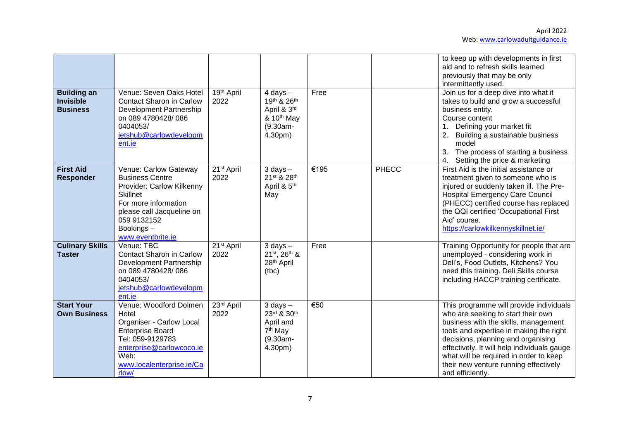|                                                           |                                                                                                                                                                                                       |                                |                                                                                                |      |       | to keep up with developments in first<br>aid and to refresh skills learned<br>previously that may be only<br>intermittently used.                                                                                                                                                                                                                            |
|-----------------------------------------------------------|-------------------------------------------------------------------------------------------------------------------------------------------------------------------------------------------------------|--------------------------------|------------------------------------------------------------------------------------------------|------|-------|--------------------------------------------------------------------------------------------------------------------------------------------------------------------------------------------------------------------------------------------------------------------------------------------------------------------------------------------------------------|
| <b>Building an</b><br><b>Invisible</b><br><b>Business</b> | Venue: Seven Oaks Hotel<br><b>Contact Sharon in Carlow</b><br>Development Partnership<br>on 089 4780428/086<br>0404053/<br>jetshub@carlowdevelopm<br>ent.ie                                           | 19th April<br>2022             | $4$ days $-$<br>19th & 26th<br>April & 3rd<br>& 10 <sup>th</sup> May<br>$(9.30am -$<br>4.30pm) | Free |       | Join us for a deep dive into what it<br>takes to build and grow a successful<br>business entity.<br>Course content<br>Defining your market fit<br>Building a sustainable business<br>2.<br>model<br>3.<br>The process of starting a business<br>Setting the price & marketing                                                                                |
| <b>First Aid</b><br><b>Responder</b>                      | Venue: Carlow Gateway<br><b>Business Centre</b><br>Provider: Carlow Kilkenny<br><b>Skillnet</b><br>For more information<br>please call Jacqueline on<br>059 9132152<br>Bookings-<br>www.eventbrite.ie | 21 <sup>st</sup> April<br>2022 | $3$ days $-$<br>21st & 28th<br>April & 5 <sup>th</sup><br>May                                  | €195 | PHECC | First Aid is the initial assistance or<br>treatment given to someone who is<br>injured or suddenly taken ill. The Pre-<br><b>Hospital Emergency Care Council</b><br>(PHECC) certified course has replaced<br>the QQI certified 'Occupational First<br>Aid' course.<br>https://carlowkilkennyskillnet.ie/                                                     |
| <b>Culinary Skills</b><br><b>Taster</b>                   | Venue: TBC<br><b>Contact Sharon in Carlow</b><br>Development Partnership<br>on 089 4780428/086<br>0404053/<br>jetshub@carlowdevelopm<br>ent.ie                                                        | $21st$ April<br>2022           | $3$ days $-$<br>21st, 26th &<br>28 <sup>th</sup> April<br>(tbc)                                | Free |       | Training Opportunity for people that are<br>unemployed - considering work in<br>Deli's, Food Outlets, Kitchens? You<br>need this training. Deli Skills course<br>including HACCP training certificate.                                                                                                                                                       |
| <b>Start Your</b><br><b>Own Business</b>                  | Venue: Woodford Dolmen<br>Hotel<br>Organiser - Carlow Local<br><b>Enterprise Board</b><br>Tel: 059-9129783<br>enterprise@carlowcoco.ie<br>Web:<br>www.localenterprise.ie/Ca<br>rlow/                  | 23rd April<br>2022             | $3$ days $-$<br>23rd & 30th<br>April and<br>7 <sup>th</sup> May<br>$(9.30am -$<br>4.30pm)      | €50  |       | This programme will provide individuals<br>who are seeking to start their own<br>business with the skills, management<br>tools and expertise in making the right<br>decisions, planning and organising<br>effectively. It will help individuals gauge<br>what will be required in order to keep<br>their new venture running effectively<br>and efficiently. |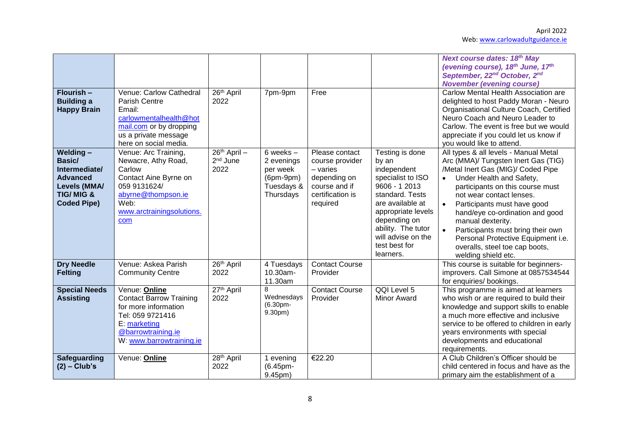| Flourish -<br><b>Building a</b><br><b>Happy Brain</b>                                                                       | Venue: Carlow Cathedral<br>Parish Centre<br>Email:<br>carlowmentalhealth@hot<br>mail.com or by dropping<br>us a private message<br>here on social media.         | 26th April<br>2022                           | 7pm-9pm                                                                           | Free                                                                                                             |                                                                                                                                                                                                                                      | <b>Next course dates: 18th May</b><br>(evening course), 18th June, 17th<br>September, 22 <sup>nd</sup> October, 2 <sup>nd</sup><br><b>November (evening course)</b><br>Carlow Mental Health Association are<br>delighted to host Paddy Moran - Neuro<br>Organisational Culture Coach, Certified<br>Neuro Coach and Neuro Leader to<br>Carlow. The event is free but we would<br>appreciate if you could let us know if<br>you would like to attend.                              |
|-----------------------------------------------------------------------------------------------------------------------------|------------------------------------------------------------------------------------------------------------------------------------------------------------------|----------------------------------------------|-----------------------------------------------------------------------------------|------------------------------------------------------------------------------------------------------------------|--------------------------------------------------------------------------------------------------------------------------------------------------------------------------------------------------------------------------------------|----------------------------------------------------------------------------------------------------------------------------------------------------------------------------------------------------------------------------------------------------------------------------------------------------------------------------------------------------------------------------------------------------------------------------------------------------------------------------------|
| Welding-<br><b>Basic/</b><br>Intermediate/<br><b>Advanced</b><br>Levels (MMA/<br><b>TIG/MIG &amp;</b><br><b>Coded Pipe)</b> | Venue: Arc Training,<br>Newacre, Athy Road,<br>Carlow<br>Contact Aine Byrne on<br>059 9131624/<br>abyrne@thompson.ie<br>Web:<br>www.arctrainingsolutions.<br>com | 26th April -<br>2 <sup>nd</sup> June<br>2022 | $6$ weeks $-$<br>2 evenings<br>per week<br>$(6pm-9pm)$<br>Tuesdays &<br>Thursdays | Please contact<br>course provider<br>$-$ varies<br>depending on<br>course and if<br>certification is<br>required | Testing is done<br>by an<br>independent<br>specialist to ISO<br>9606 - 1 2013<br>standard. Tests<br>are available at<br>appropriate levels<br>depending on<br>ability. The tutor<br>will advise on the<br>test best for<br>learners. | All types & all levels - Manual Metal<br>Arc (MMA)/ Tungsten Inert Gas (TIG)<br>/Metal Inert Gas (MIG)/ Coded Pipe<br>Under Health and Safety,<br>$\bullet$<br>participants on this course must<br>not wear contact lenses.<br>Participants must have good<br>$\bullet$<br>hand/eye co-ordination and good<br>manual dexterity.<br>Participants must bring their own<br>$\bullet$<br>Personal Protective Equipment i.e.<br>overalls, steel toe cap boots,<br>welding shield etc. |
| <b>Dry Needle</b><br><b>Felting</b>                                                                                         | Venue: Askea Parish<br><b>Community Centre</b>                                                                                                                   | 26 <sup>th</sup> April<br>2022               | 4 Tuesdays<br>10.30am-<br>11.30am                                                 | <b>Contact Course</b><br>Provider                                                                                |                                                                                                                                                                                                                                      | This course is suitable for beginners-<br>improvers. Call Simone at 0857534544<br>for enquiries/ bookings.                                                                                                                                                                                                                                                                                                                                                                       |
| <b>Special Needs</b><br><b>Assisting</b>                                                                                    | Venue: Online<br><b>Contact Barrow Training</b><br>for more information<br>Tel: 059 9721416<br>E: marketing<br>@barrowtraining.ie<br>W: www.barrowtraining.ie    | 27th April<br>2022                           | 8<br>Wednesdays<br>(6.30pm-<br>9.30pm)                                            | <b>Contact Course</b><br>Provider                                                                                | QQI Level 5<br>Minor Award                                                                                                                                                                                                           | This programme is aimed at learners<br>who wish or are required to build their<br>knowledge and support skills to enable<br>a much more effective and inclusive<br>service to be offered to children in early<br>years environments with special<br>developments and educational<br>requirements.                                                                                                                                                                                |
| <b>Safeguarding</b><br>$(2)$ – Club's                                                                                       | Venue: Online                                                                                                                                                    | 28 <sup>th</sup> April<br>2022               | 1 evening<br>(6.45pm-<br>9.45pm)                                                  | €22.20                                                                                                           |                                                                                                                                                                                                                                      | A Club Children's Officer should be<br>child centered in focus and have as the<br>primary aim the establishment of a                                                                                                                                                                                                                                                                                                                                                             |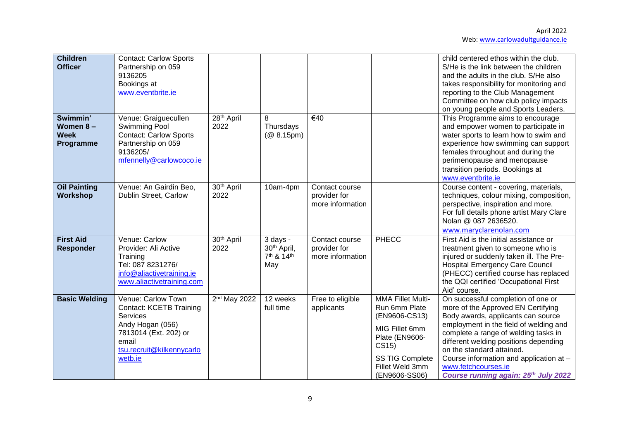| <b>Children</b><br><b>Officer</b>                | <b>Contact: Carlow Sports</b><br>Partnership on 059<br>9136205<br>Bookings at<br>www.eventbrite.ie                                                             |                                |                                                                                  |                                                    |                                                                                                                                                                       | child centered ethos within the club.<br>S/He is the link between the children<br>and the adults in the club. S/He also<br>takes responsibility for monitoring and<br>reporting to the Club Management<br>Committee on how club policy impacts<br>on young people and Sports Leaders.                                                                                            |
|--------------------------------------------------|----------------------------------------------------------------------------------------------------------------------------------------------------------------|--------------------------------|----------------------------------------------------------------------------------|----------------------------------------------------|-----------------------------------------------------------------------------------------------------------------------------------------------------------------------|----------------------------------------------------------------------------------------------------------------------------------------------------------------------------------------------------------------------------------------------------------------------------------------------------------------------------------------------------------------------------------|
| Swimmin'<br>Women 8-<br><b>Week</b><br>Programme | Venue: Graiguecullen<br><b>Swimming Pool</b><br><b>Contact: Carlow Sports</b><br>Partnership on 059<br>9136205/<br>mfennelly@carlowcoco.ie                     | 28th April<br>2022             | 8<br>Thursdays<br>(@ 8.15pm)                                                     | €40                                                |                                                                                                                                                                       | This Programme aims to encourage<br>and empower women to participate in<br>water sports to learn how to swim and<br>experience how swimming can support<br>females throughout and during the<br>perimenopause and menopause<br>transition periods. Bookings at<br>www.eventbrite.ie                                                                                              |
| <b>Oil Painting</b><br>Workshop                  | Venue: An Gairdin Beo,<br>Dublin Street, Carlow                                                                                                                | 30 <sup>th</sup> April<br>2022 | 10am-4pm                                                                         | Contact course<br>provider for<br>more information |                                                                                                                                                                       | Course content - covering, materials,<br>techniques, colour mixing, composition,<br>perspective, inspiration and more.<br>For full details phone artist Mary Clare<br>Nolan @ 087 2636520.<br>www.maryclarenolan.com                                                                                                                                                             |
| <b>First Aid</b><br><b>Responder</b>             | Venue: Carlow<br>Provider: Ali Active<br>Training<br>Tel: 087 8231276/<br>info@aliactivetraining.ie<br>www.aliactivetraining.com                               | 30 <sup>th</sup> April<br>2022 | 3 days -<br>30 <sup>th</sup> April,<br>7 <sup>th</sup> & 14 <sup>th</sup><br>May | Contact course<br>provider for<br>more information | <b>PHECC</b>                                                                                                                                                          | First Aid is the initial assistance or<br>treatment given to someone who is<br>injured or suddenly taken ill. The Pre-<br><b>Hospital Emergency Care Council</b><br>(PHECC) certified course has replaced<br>the QQI certified 'Occupational First<br>Aid' course.                                                                                                               |
| <b>Basic Welding</b>                             | Venue: Carlow Town<br><b>Contact: KCETB Training</b><br>Services<br>Andy Hogan (056)<br>7813014 (Ext. 202) or<br>email<br>tsu.recruit@kilkennycarlo<br>wetb.ie | 2 <sup>nd</sup> May 2022       | 12 weeks<br>full time                                                            | Free to eligible<br>applicants                     | <b>MMA Fillet Multi-</b><br>Run 6mm Plate<br>(EN9606-CS13)<br>MIG Fillet 6mm<br>Plate (EN9606-<br>CS15)<br><b>SS TIG Complete</b><br>Fillet Weld 3mm<br>(EN9606-SS06) | On successful completion of one or<br>more of the Approved EN Certifying<br>Body awards, applicants can source<br>employment in the field of welding and<br>complete a range of welding tasks in<br>different welding positions depending<br>on the standard attained.<br>Course information and application at -<br>www.fetchcourses.ie<br>Course running again: 25th July 2022 |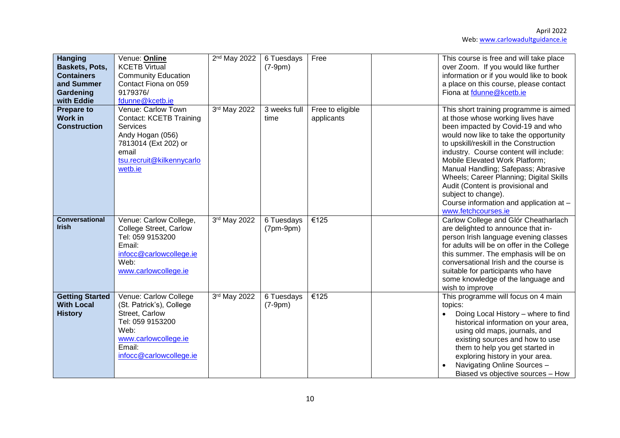| <b>Hanging</b><br><b>Baskets, Pots,</b><br><b>Containers</b><br>and Summer | Venue: Online<br><b>KCETB Virtual</b><br><b>Community Education</b><br>Contact Fiona on 059                                                                   | 2 <sup>nd</sup> May 2022 | 6 Tuesdays<br>$(7-9pm)$   | Free                           | This course is free and will take place<br>over Zoom. If you would like further<br>information or if you would like to book<br>a place on this course, please contact                                                                                                                                                                                                                                                                                                                            |
|----------------------------------------------------------------------------|---------------------------------------------------------------------------------------------------------------------------------------------------------------|--------------------------|---------------------------|--------------------------------|--------------------------------------------------------------------------------------------------------------------------------------------------------------------------------------------------------------------------------------------------------------------------------------------------------------------------------------------------------------------------------------------------------------------------------------------------------------------------------------------------|
| Gardening<br>with Eddie                                                    | 9179376/<br>fdunne@kcetb.ie                                                                                                                                   |                          |                           |                                | Fiona at fdunne@kcetb.ie                                                                                                                                                                                                                                                                                                                                                                                                                                                                         |
| <b>Prepare to</b><br><b>Work in</b><br><b>Construction</b>                 | Venue: Carlow Town<br><b>Contact: KCETB Training</b><br>Services<br>Andy Hogan (056)<br>7813014 (Ext 202) or<br>email<br>tsu.recruit@kilkennycarlo<br>wetb.ie | 3rd May 2022             | 3 weeks full<br>time      | Free to eligible<br>applicants | This short training programme is aimed<br>at those whose working lives have<br>been impacted by Covid-19 and who<br>would now like to take the opportunity<br>to upskill/reskill in the Construction<br>industry. Course content will include:<br>Mobile Elevated Work Platform;<br>Manual Handling; Safepass; Abrasive<br>Wheels; Career Planning; Digital Skills<br>Audit (Content is provisional and<br>subject to change).<br>Course information and application at -<br>www.fetchcourses.ie |
| <b>Conversational</b><br><b>Irish</b>                                      | Venue: Carlow College,<br>College Street, Carlow<br>Tel: 059 9153200<br>Email:<br>infocc@carlowcollege.ie<br>Web:<br>www.carlowcollege.ie                     | 3rd May 2022             | 6 Tuesdays<br>$(7pm-9pm)$ | €125                           | Carlow College and Glór Cheatharlach<br>are delighted to announce that in-<br>person Irish language evening classes<br>for adults will be on offer in the College<br>this summer. The emphasis will be on<br>conversational Irish and the course is<br>suitable for participants who have<br>some knowledge of the language and<br>wish to improve                                                                                                                                               |
| <b>Getting Started</b><br><b>With Local</b><br><b>History</b>              | Venue: Carlow College<br>(St. Patrick's), College<br>Street, Carlow<br>Tel: 059 9153200<br>Web:<br>www.carlowcollege.ie<br>Email:<br>infocc@carlowcollege.ie  | 3rd May 2022             | 6 Tuesdays<br>$(7-9pm)$   | €125                           | This programme will focus on 4 main<br>topics:<br>Doing Local History - where to find<br>historical information on your area,<br>using old maps, journals, and<br>existing sources and how to use<br>them to help you get started in<br>exploring history in your area.<br>Navigating Online Sources -<br>Biased vs objective sources - How                                                                                                                                                      |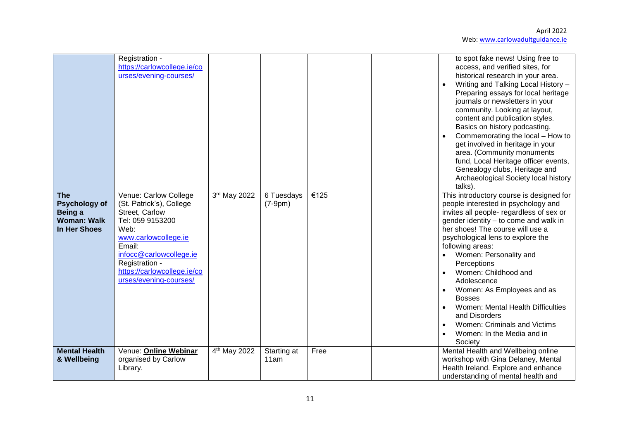|                                                                                     | Registration -<br>https://carlowcollege.ie/co<br>urses/evening-courses/                                                                                                                                                                 |                          |                         |      | to spot fake news! Using free to<br>access, and verified sites, for<br>historical research in your area.<br>Writing and Talking Local History -<br>Preparing essays for local heritage<br>journals or newsletters in your<br>community. Looking at layout,<br>content and publication styles.<br>Basics on history podcasting.<br>Commemorating the local - How to<br>get involved in heritage in your<br>area. (Community monuments<br>fund, Local Heritage officer events,<br>Genealogy clubs, Heritage and<br>Archaeological Society local history<br>talks). |
|-------------------------------------------------------------------------------------|-----------------------------------------------------------------------------------------------------------------------------------------------------------------------------------------------------------------------------------------|--------------------------|-------------------------|------|------------------------------------------------------------------------------------------------------------------------------------------------------------------------------------------------------------------------------------------------------------------------------------------------------------------------------------------------------------------------------------------------------------------------------------------------------------------------------------------------------------------------------------------------------------------|
| <b>The</b><br><b>Psychology of</b><br>Being a<br><b>Woman: Walk</b><br>In Her Shoes | Venue: Carlow College<br>(St. Patrick's), College<br>Street, Carlow<br>Tel: 059 9153200<br>Web:<br>www.carlowcollege.ie<br>Email:<br>infocc@carlowcollege.ie<br>Registration -<br>https://carlowcollege.ie/co<br>urses/evening-courses/ | 3rd May 2022             | 6 Tuesdays<br>$(7-9pm)$ | €125 | This introductory course is designed for<br>people interested in psychology and<br>invites all people- regardless of sex or<br>gender identity - to come and walk in<br>her shoes! The course will use a<br>psychological lens to explore the<br>following areas:<br>Women: Personality and<br>Perceptions<br>Women: Childhood and<br>Adolescence<br>Women: As Employees and as<br><b>Bosses</b><br>Women: Mental Health Difficulties<br>and Disorders<br>Women: Criminals and Victims<br>Women: In the Media and in<br>Society                                  |
| <b>Mental Health</b><br>& Wellbeing                                                 | Venue: Online Webinar<br>organised by Carlow<br>Library.                                                                                                                                                                                | 4 <sup>th</sup> May 2022 | Starting at<br>11am     | Free | Mental Health and Wellbeing online<br>workshop with Gina Delaney, Mental<br>Health Ireland. Explore and enhance<br>understanding of mental health and                                                                                                                                                                                                                                                                                                                                                                                                            |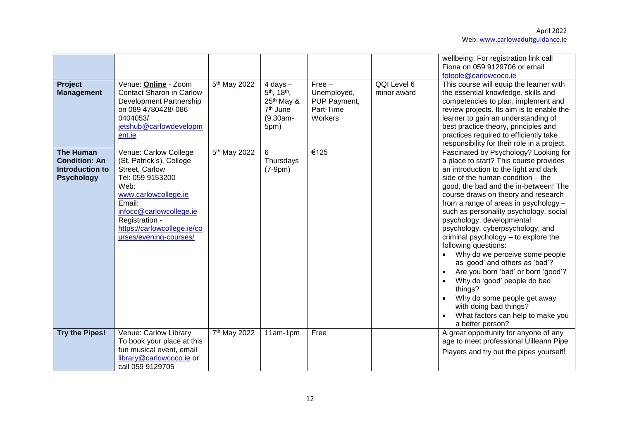| Project                                                                                 | Venue: Online - Zoom                                                                                                                                                                                                                    | 5 <sup>th</sup> May 2022 | $4$ days $-$                                                                                        | $Free -$                                            | QQI Level 6 | wellbeing. For registration link call<br>Fiona on 059 9129706 or email<br>fotoole@carlowcoco.ie<br>This course will equip the learner with                                                                                                                                                                                                                                                                                                                                                                                                                                                                                                                                                                                              |
|-----------------------------------------------------------------------------------------|-----------------------------------------------------------------------------------------------------------------------------------------------------------------------------------------------------------------------------------------|--------------------------|-----------------------------------------------------------------------------------------------------|-----------------------------------------------------|-------------|-----------------------------------------------------------------------------------------------------------------------------------------------------------------------------------------------------------------------------------------------------------------------------------------------------------------------------------------------------------------------------------------------------------------------------------------------------------------------------------------------------------------------------------------------------------------------------------------------------------------------------------------------------------------------------------------------------------------------------------------|
| <b>Management</b>                                                                       | <b>Contact Sharon in Carlow</b><br>Development Partnership<br>on 089 4780428/086<br>0404053/<br>jetshub@carlowdevelopm<br>ent.ie                                                                                                        |                          | 5 <sup>th</sup> , 18 <sup>th</sup> ,<br>$25th$ May &<br>7 <sup>th</sup> June<br>$(9.30am -$<br>5pm) | Unemployed,<br>PUP Payment,<br>Part-Time<br>Workers | minor award | the essential knowledge, skills and<br>competencies to plan, implement and<br>review projects. Its aim is to enable the<br>learner to gain an understanding of<br>best practice theory, principles and<br>practices required to efficiently take<br>responsibility for their role in a project.                                                                                                                                                                                                                                                                                                                                                                                                                                         |
| <b>The Human</b><br><b>Condition: An</b><br><b>Introduction to</b><br><b>Psychology</b> | Venue: Carlow College<br>(St. Patrick's), College<br>Street, Carlow<br>Tel: 059 9153200<br>Web:<br>www.carlowcollege.ie<br>Email:<br>infocc@carlowcollege.ie<br>Registration -<br>https://carlowcollege.ie/co<br>urses/evening-courses/ | 5 <sup>th</sup> May 2022 | 6<br>Thursdays<br>$(7-9pm)$                                                                         | €125                                                |             | Fascinated by Psychology? Looking for<br>a place to start? This course provides<br>an introduction to the light and dark<br>side of the human condition - the<br>good, the bad and the in-between! The<br>course draws on theory and research<br>from a range of areas in psychology -<br>such as personality psychology, social<br>psychology, developmental<br>psychology, cyberpsychology, and<br>criminal psychology - to explore the<br>following questions:<br>Why do we perceive some people<br>as 'good' and others as 'bad'?<br>Are you born 'bad' or born 'good'?<br>Why do 'good' people do bad<br>things?<br>Why do some people get away<br>with doing bad things?<br>What factors can help to make you<br>a better person? |
| <b>Try the Pipes!</b>                                                                   | Venue: Carlow Library<br>To book your place at this<br>fun musical event, email<br>library@carlowcoco.ie or<br>call 059 9129705                                                                                                         | 7 <sup>th</sup> May 2022 | 11am-1pm                                                                                            | Free                                                |             | A great opportunity for anyone of any<br>age to meet professional Uilleann Pipe<br>Players and try out the pipes yourself!                                                                                                                                                                                                                                                                                                                                                                                                                                                                                                                                                                                                              |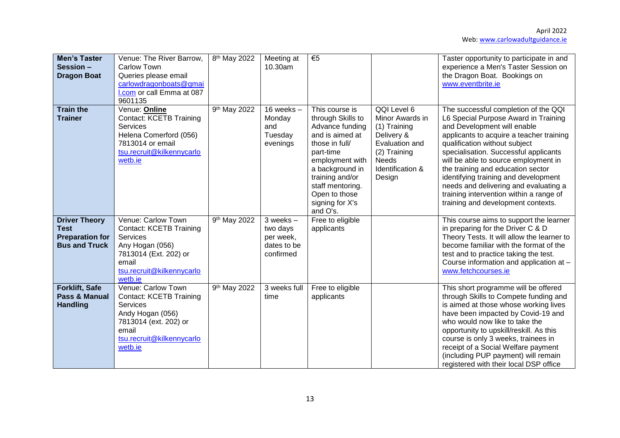| <b>Men's Taster</b><br>Session -<br><b>Dragon Boat</b>                                | Venue: The River Barrow,<br><b>Carlow Town</b><br>Queries please email<br>carlowdragonboats@gmai<br>I.com or call Emma at 087<br>9601135                              | 8 <sup>th</sup> May 2022 | Meeting at<br>10.30am                                              | €5                                                                                                                                                                                                                                    |                                                                                                                                              | Taster opportunity to participate in and<br>experience a Men's Taster Session on<br>the Dragon Boat. Bookings on<br>www.eventbrite.ie                                                                                                                                                                                                                                                                                                                                            |
|---------------------------------------------------------------------------------------|-----------------------------------------------------------------------------------------------------------------------------------------------------------------------|--------------------------|--------------------------------------------------------------------|---------------------------------------------------------------------------------------------------------------------------------------------------------------------------------------------------------------------------------------|----------------------------------------------------------------------------------------------------------------------------------------------|----------------------------------------------------------------------------------------------------------------------------------------------------------------------------------------------------------------------------------------------------------------------------------------------------------------------------------------------------------------------------------------------------------------------------------------------------------------------------------|
| <b>Train the</b><br><b>Trainer</b>                                                    | Venue: Online<br><b>Contact: KCETB Training</b><br><b>Services</b><br>Helena Comerford (056)<br>7813014 or email<br>tsu.recruit@kilkennycarlo<br>wetb.ie              | 9 <sup>th</sup> May 2022 | 16 weeks $-$<br>Monday<br>and<br>Tuesday<br>evenings               | This course is<br>through Skills to<br>Advance funding<br>and is aimed at<br>those in full/<br>part-time<br>employment with<br>a background in<br>training and/or<br>staff mentoring.<br>Open to those<br>signing for X's<br>and O's. | QQI Level 6<br>Minor Awards in<br>(1) Training<br>Delivery &<br>Evaluation and<br>(2) Training<br><b>Needs</b><br>Identification &<br>Design | The successful completion of the QQI<br>L6 Special Purpose Award in Training<br>and Development will enable<br>applicants to acquire a teacher training<br>qualification without subject<br>specialisation. Successful applicants<br>will be able to source employment in<br>the training and education sector<br>identifying training and development<br>needs and delivering and evaluating a<br>training intervention within a range of<br>training and development contexts. |
| <b>Driver Theory</b><br><b>Test</b><br><b>Preparation for</b><br><b>Bus and Truck</b> | Venue: Carlow Town<br><b>Contact: KCETB Training</b><br><b>Services</b><br>Any Hogan (056)<br>7813014 (Ext. 202) or<br>email<br>tsu.recruit@kilkennycarlo<br>wetb.ie  | 9th May 2022             | $3$ weeks $-$<br>two days<br>per week,<br>dates to be<br>confirmed | Free to eligible<br>applicants                                                                                                                                                                                                        |                                                                                                                                              | This course aims to support the learner<br>in preparing for the Driver C & D<br>Theory Tests. It will allow the learner to<br>become familiar with the format of the<br>test and to practice taking the test.<br>Course information and application at -<br>www.fetchcourses.ie                                                                                                                                                                                                  |
| <b>Forklift, Safe</b><br>Pass & Manual<br><b>Handling</b>                             | Venue: Carlow Town<br><b>Contact: KCETB Training</b><br><b>Services</b><br>Andy Hogan (056)<br>7813014 (ext. 202) or<br>email<br>tsu.recruit@kilkennycarlo<br>wetb.ie | 9 <sup>th</sup> May 2022 | 3 weeks full<br>time                                               | Free to eligible<br>applicants                                                                                                                                                                                                        |                                                                                                                                              | This short programme will be offered<br>through Skills to Compete funding and<br>is aimed at those whose working lives<br>have been impacted by Covid-19 and<br>who would now like to take the<br>opportunity to upskill/reskill. As this<br>course is only 3 weeks, trainees in<br>receipt of a Social Welfare payment<br>(including PUP payment) will remain<br>registered with their local DSP office                                                                         |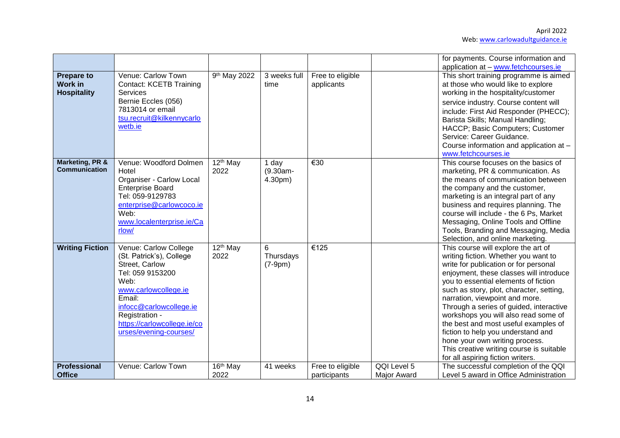|                                                           |                                                                                                                                                                                                                                         |                              |                              |                                  |                                   | for payments. Course information and                                                                                                                                                                                                                                                                                                                                                                                                                                                                                                                                      |
|-----------------------------------------------------------|-----------------------------------------------------------------------------------------------------------------------------------------------------------------------------------------------------------------------------------------|------------------------------|------------------------------|----------------------------------|-----------------------------------|---------------------------------------------------------------------------------------------------------------------------------------------------------------------------------------------------------------------------------------------------------------------------------------------------------------------------------------------------------------------------------------------------------------------------------------------------------------------------------------------------------------------------------------------------------------------------|
| <b>Prepare to</b><br><b>Work in</b><br><b>Hospitality</b> | Venue: Carlow Town<br><b>Contact: KCETB Training</b><br>Services<br>Bernie Eccles (056)<br>7813014 or email<br>tsu.recruit@kilkennycarlo<br>wetb.ie                                                                                     | 9th May 2022                 | 3 weeks full<br>time         | Free to eligible<br>applicants   |                                   | application at - www.fetchcourses.ie<br>This short training programme is aimed<br>at those who would like to explore<br>working in the hospitality/customer<br>service industry. Course content will<br>include: First Aid Responder (PHECC);<br>Barista Skills; Manual Handling;<br>HACCP; Basic Computers; Customer<br>Service: Career Guidance.<br>Course information and application at -<br>www.fetchcourses.ie                                                                                                                                                      |
| <b>Marketing, PR &amp;</b><br><b>Communication</b>        | Venue: Woodford Dolmen<br>Hotel<br><b>Organiser - Carlow Local</b><br><b>Enterprise Board</b><br>Tel: 059-9129783<br>enterprise@carlowcoco.ie<br>Web:<br>www.localenterprise.ie/Ca<br>rlow/                                             | 12 <sup>th</sup> May<br>2022 | 1 day<br>(9.30am-<br>4.30pm) | €30                              |                                   | This course focuses on the basics of<br>marketing, PR & communication. As<br>the means of communication between<br>the company and the customer,<br>marketing is an integral part of any<br>business and requires planning. The<br>course will include - the 6 Ps, Market<br>Messaging, Online Tools and Offline<br>Tools, Branding and Messaging, Media<br>Selection, and online marketing.                                                                                                                                                                              |
| <b>Writing Fiction</b>                                    | Venue: Carlow College<br>(St. Patrick's), College<br>Street, Carlow<br>Tel: 059 9153200<br>Web:<br>www.carlowcollege.ie<br>Email:<br>infocc@carlowcollege.ie<br>Registration -<br>https://carlowcollege.ie/co<br>urses/evening-courses/ | 12 <sup>th</sup> May<br>2022 | 6<br>Thursdays<br>$(7-9pm)$  | €125                             |                                   | This course will explore the art of<br>writing fiction. Whether you want to<br>write for publication or for personal<br>enjoyment, these classes will introduce<br>you to essential elements of fiction<br>such as story, plot, character, setting,<br>narration, viewpoint and more.<br>Through a series of guided, interactive<br>workshops you will also read some of<br>the best and most useful examples of<br>fiction to help you understand and<br>hone your own writing process.<br>This creative writing course is suitable<br>for all aspiring fiction writers. |
| <b>Professional</b><br><b>Office</b>                      | Venue: Carlow Town                                                                                                                                                                                                                      | 16 <sup>th</sup> May<br>2022 | 41 weeks                     | Free to eligible<br>participants | QQI Level 5<br><b>Major Award</b> | The successful completion of the QQI<br>Level 5 award in Office Administration                                                                                                                                                                                                                                                                                                                                                                                                                                                                                            |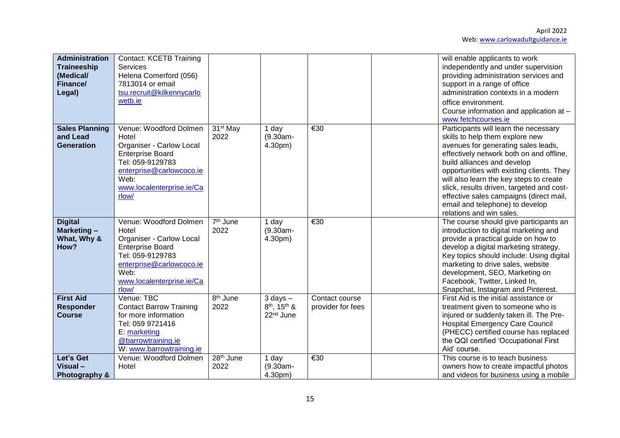| <b>Administration</b><br><b>Traineeship</b><br>(Medical/<br>Finance/<br>Legal) | <b>Contact: KCETB Training</b><br><b>Services</b><br>Helena Comerford (056)<br>7813014 or email<br>tsu.recruit@kilkennycarlo<br>wetb.ie                                                     |                               |                                                                               |                                     | will enable applicants to work<br>independently and under supervision<br>providing administration services and<br>support in a range of office<br>administration contexts in a modern<br>office environment.<br>Course information and application at -<br>www.fetchcourses.ie                                                                                                                                                            |
|--------------------------------------------------------------------------------|---------------------------------------------------------------------------------------------------------------------------------------------------------------------------------------------|-------------------------------|-------------------------------------------------------------------------------|-------------------------------------|-------------------------------------------------------------------------------------------------------------------------------------------------------------------------------------------------------------------------------------------------------------------------------------------------------------------------------------------------------------------------------------------------------------------------------------------|
| <b>Sales Planning</b><br>and Lead<br><b>Generation</b>                         | Venue: Woodford Dolmen<br>Hotel<br><b>Organiser - Carlow Local</b><br><b>Enterprise Board</b><br>Tel: 059-9129783<br>enterprise@carlowcoco.ie<br>Web:<br>www.localenterprise.ie/Ca<br>rlow/ | 31 <sup>st</sup> May<br>2022  | 1 day<br>$(9.30am -$<br>4.30pm)                                               | €30                                 | Participants will learn the necessary<br>skills to help them explore new<br>avenues for generating sales leads,<br>effectively network both on and offline,<br>build alliances and develop<br>opportunities with existing clients. They<br>will also learn the key steps to create<br>slick, results driven, targeted and cost-<br>effective sales campaigns (direct mail,<br>email and telephone) to develop<br>relations and win sales. |
| <b>Digital</b><br>Marketing-<br>What, Why &<br>How?                            | Venue: Woodford Dolmen<br>Hotel<br><b>Organiser - Carlow Local</b><br><b>Enterprise Board</b><br>Tel: 059-9129783<br>enterprise@carlowcoco.ie<br>Web:<br>www.localenterprise.ie/Ca<br>rlow/ | 7 <sup>th</sup> June<br>2022  | 1 day<br>$(9.30am -$<br>4.30pm)                                               | €30                                 | The course should give participants an<br>introduction to digital marketing and<br>provide a practical guide on how to<br>develop a digital marketing strategy.<br>Key topics should include: Using digital<br>marketing to drive sales, website<br>development, SEO, Marketing on<br>Facebook, Twitter, Linked In,<br>Snapchat, Instagram and Pinterest.                                                                                 |
| <b>First Aid</b><br><b>Responder</b><br><b>Course</b>                          | Venue: TBC<br><b>Contact Barrow Training</b><br>for more information<br>Tel: 059 9721416<br>E: marketing<br>@barrowtraining.ie<br>W: www.barrowtraining.ie                                  | 8 <sup>th</sup> June<br>2022  | $3$ days $-$<br>8 <sup>th</sup> , 15 <sup>th</sup> &<br>22 <sup>nd</sup> June | Contact course<br>provider for fees | First Aid is the initial assistance or<br>treatment given to someone who is<br>injured or suddenly taken ill. The Pre-<br><b>Hospital Emergency Care Council</b><br>(PHECC) certified course has replaced<br>the QQI certified 'Occupational First<br>Aid' course.                                                                                                                                                                        |
| Let's Get<br>Visual-<br>Photography &                                          | Venue: Woodford Dolmen<br>Hotel                                                                                                                                                             | 28 <sup>th</sup> June<br>2022 | 1 day<br>$(9.30am -$<br>4.30pm)                                               | $\overline{\epsilon}30$             | This course is to teach business<br>owners how to create impactful photos<br>and videos for business using a mobile                                                                                                                                                                                                                                                                                                                       |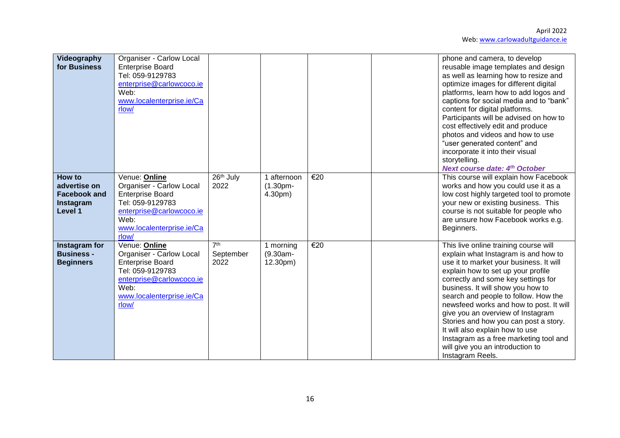| Videography<br>for Business                                           | <b>Organiser - Carlow Local</b><br><b>Enterprise Board</b><br>Tel: 059-9129783<br>enterprise@carlowcoco.ie<br>Web:<br>www.localenterprise.ie/Ca<br>rlow/                  |                                      |                                       |                          | phone and camera, to develop<br>reusable image templates and design<br>as well as learning how to resize and<br>optimize images for different digital<br>platforms, learn how to add logos and<br>captions for social media and to "bank"<br>content for digital platforms.<br>Participants will be advised on how to<br>cost effectively edit and produce<br>photos and videos and how to use<br>"user generated content" and<br>incorporate it into their visual<br>storytelling.<br><b>Next course date: 4th October</b>                      |
|-----------------------------------------------------------------------|---------------------------------------------------------------------------------------------------------------------------------------------------------------------------|--------------------------------------|---------------------------------------|--------------------------|--------------------------------------------------------------------------------------------------------------------------------------------------------------------------------------------------------------------------------------------------------------------------------------------------------------------------------------------------------------------------------------------------------------------------------------------------------------------------------------------------------------------------------------------------|
| How to<br>advertise on<br><b>Facebook and</b><br>Instagram<br>Level 1 | Venue: Online<br><b>Organiser - Carlow Local</b><br><b>Enterprise Board</b><br>Tel: 059-9129783<br>enterprise@carlowcoco.ie<br>Web:<br>www.localenterprise.ie/Ca<br>rlow/ | 26 <sup>th</sup> July<br>2022        | 1 afternoon<br>$(1.30pm -$<br>4.30pm) | €20                      | This course will explain how Facebook<br>works and how you could use it as a<br>low cost highly targeted tool to promote<br>your new or existing business. This<br>course is not suitable for people who<br>are unsure how Facebook works e.g.<br>Beginners.                                                                                                                                                                                                                                                                                     |
| Instagram for<br><b>Business -</b><br><b>Beginners</b>                | Venue: Online<br><b>Organiser - Carlow Local</b><br><b>Enterprise Board</b><br>Tel: 059-9129783<br>enterprise@carlowcoco.ie<br>Web:<br>www.localenterprise.ie/Ca<br>rlow/ | 7 <sup>th</sup><br>September<br>2022 | 1 morning<br>$(9.30am -$<br>12.30pm)  | $\overline{\epsilon}$ 20 | This live online training course will<br>explain what Instagram is and how to<br>use it to market your business. It will<br>explain how to set up your profile<br>correctly and some key settings for<br>business. It will show you how to<br>search and people to follow. How the<br>newsfeed works and how to post. It will<br>give you an overview of Instagram<br>Stories and how you can post a story.<br>It will also explain how to use<br>Instagram as a free marketing tool and<br>will give you an introduction to<br>Instagram Reels. |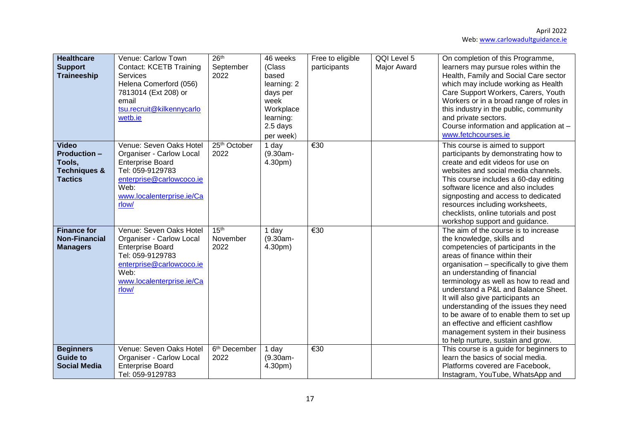| <b>Healthcare</b><br><b>Support</b><br><b>Traineeship</b>                                  | Venue: Carlow Town<br><b>Contact: KCETB Training</b><br>Services<br>Helena Comerford (056)<br>7813014 (Ext 208) or<br>email<br>tsu.recruit@kilkennycarlo<br>wetb.ie                 | 26 <sup>th</sup><br>September<br>2022 | 46 weeks<br>(Class<br>based<br>learning: 2<br>days per<br>week<br>Workplace<br>learning:<br>2.5 days<br>per week) | Free to eligible<br>participants | QQI Level 5<br><b>Major Award</b> | On completion of this Programme,<br>learners may pursue roles within the<br>Health, Family and Social Care sector<br>which may include working as Health<br>Care Support Workers, Carers, Youth<br>Workers or in a broad range of roles in<br>this industry in the public, community<br>and private sectors.<br>Course information and application at -<br>www.fetchcourses.ie                                                                                                                                                                       |
|--------------------------------------------------------------------------------------------|-------------------------------------------------------------------------------------------------------------------------------------------------------------------------------------|---------------------------------------|-------------------------------------------------------------------------------------------------------------------|----------------------------------|-----------------------------------|------------------------------------------------------------------------------------------------------------------------------------------------------------------------------------------------------------------------------------------------------------------------------------------------------------------------------------------------------------------------------------------------------------------------------------------------------------------------------------------------------------------------------------------------------|
| <b>Video</b><br><b>Production -</b><br>Tools,<br><b>Techniques &amp;</b><br><b>Tactics</b> | Venue: Seven Oaks Hotel<br><b>Organiser - Carlow Local</b><br><b>Enterprise Board</b><br>Tel: 059-9129783<br>enterprise@carlowcoco.ie<br>Web:<br>www.localenterprise.ie/Ca<br>rlow/ | 25th October<br>2022                  | 1 day<br>$(9.30am -$<br>4.30pm)                                                                                   | $\overline{\epsilon}30$          |                                   | This course is aimed to support<br>participants by demonstrating how to<br>create and edit videos for use on<br>websites and social media channels.<br>This course includes a 60-day editing<br>software licence and also includes<br>signposting and access to dedicated<br>resources including worksheets,<br>checklists, online tutorials and post<br>workshop support and guidance.                                                                                                                                                              |
| <b>Finance for</b><br><b>Non-Financial</b><br><b>Managers</b>                              | Venue: Seven Oaks Hotel<br><b>Organiser - Carlow Local</b><br><b>Enterprise Board</b><br>Tel: 059-9129783<br>enterprise@carlowcoco.ie<br>Web:<br>www.localenterprise.ie/Ca<br>rlow/ | 15 <sup>th</sup><br>November<br>2022  | 1 day<br>$(9.30am -$<br>4.30pm)                                                                                   | €30                              |                                   | The aim of the course is to increase<br>the knowledge, skills and<br>competencies of participants in the<br>areas of finance within their<br>organisation - specifically to give them<br>an understanding of financial<br>terminology as well as how to read and<br>understand a P&L and Balance Sheet.<br>It will also give participants an<br>understanding of the issues they need<br>to be aware of to enable them to set up<br>an effective and efficient cashflow<br>management system in their business<br>to help nurture, sustain and grow. |
| <b>Beginners</b><br><b>Guide to</b><br><b>Social Media</b>                                 | Venue: Seven Oaks Hotel<br>Organiser - Carlow Local<br><b>Enterprise Board</b><br>Tel: 059-9129783                                                                                  | 6 <sup>th</sup> December<br>2022      | 1 day<br>$(9.30am -$<br>4.30pm)                                                                                   | $\overline{\epsilon}30$          |                                   | This course is a guide for beginners to<br>learn the basics of social media.<br>Platforms covered are Facebook,<br>Instagram, YouTube, WhatsApp and                                                                                                                                                                                                                                                                                                                                                                                                  |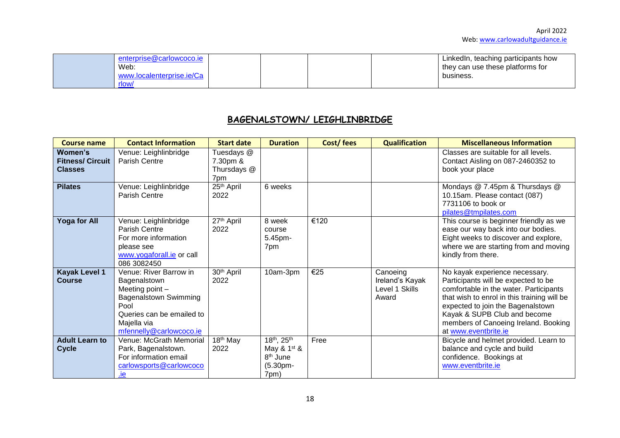| enterprise@carlowcoco.je<br>Web:<br>www.localenterprise.ie/Ca |  |  | LinkedIn, teaching participants how<br>they can use these platforms for<br>business. |
|---------------------------------------------------------------|--|--|--------------------------------------------------------------------------------------|
| rlow/                                                         |  |  |                                                                                      |

## **BAGENALSTOWN/ LEIGHLINBRIDGE**

| <b>Course name</b>                                   | <b>Contact Information</b>                                                                                                                                               | <b>Start date</b>                            | <b>Duration</b>                                                            | Cost/fees | <b>Qualification</b>                                   | <b>Miscellaneous Information</b>                                                                                                                                                                                                                                                                    |
|------------------------------------------------------|--------------------------------------------------------------------------------------------------------------------------------------------------------------------------|----------------------------------------------|----------------------------------------------------------------------------|-----------|--------------------------------------------------------|-----------------------------------------------------------------------------------------------------------------------------------------------------------------------------------------------------------------------------------------------------------------------------------------------------|
| Women's<br><b>Fitness/ Circuit</b><br><b>Classes</b> | Venue: Leighlinbridge<br>Parish Centre                                                                                                                                   | Tuesdays @<br>7.30pm &<br>Thursdays @<br>7pm |                                                                            |           |                                                        | Classes are suitable for all levels.<br>Contact Aisling on 087-2460352 to<br>book your place                                                                                                                                                                                                        |
| <b>Pilates</b>                                       | Venue: Leighlinbridge<br><b>Parish Centre</b>                                                                                                                            | 25 <sup>th</sup> April<br>2022               | 6 weeks                                                                    |           |                                                        | Mondays @ 7.45pm & Thursdays @<br>10.15am. Please contact (087)<br>7731106 to book or<br>pilates@tmpilates.com                                                                                                                                                                                      |
| Yoga for All                                         | Venue: Leighlinbridge<br><b>Parish Centre</b><br>For more information<br>please see<br>www.yogaforall.ie or call<br>086 3082450                                          | 27th April<br>2022                           | 8 week<br>course<br>5.45pm-<br>7pm                                         | €120      |                                                        | This course is beginner friendly as we<br>ease our way back into our bodies.<br>Eight weeks to discover and explore,<br>where we are starting from and moving<br>kindly from there.                                                                                                                 |
| <b>Kayak Level 1</b><br><b>Course</b>                | Venue: River Barrow in<br>Bagenalstown<br>Meeting point -<br><b>Bagenalstown Swimming</b><br>Pool<br>Queries can be emailed to<br>Majella via<br>mfennelly@carlowcoco.ie | 30 <sup>th</sup> April<br>2022               | 10am-3pm                                                                   | €25       | Canoeing<br>Ireland's Kayak<br>Level 1 Skills<br>Award | No kayak experience necessary.<br>Participants will be expected to be<br>comfortable in the water. Participants<br>that wish to enrol in this training will be<br>expected to join the Bagenalstown<br>Kayak & SUPB Club and become<br>members of Canoeing Ireland. Booking<br>at www.eventbrite.ie |
| <b>Adult Learn to</b><br><b>Cycle</b>                | Venue: McGrath Memorial<br>Park, Bagenalstown.<br>For information email<br>carlowsports@carlowcoco<br>.ie                                                                | 18 <sup>th</sup> May<br>2022                 | 18th, 25th<br>May $& 1st$ &<br>8 <sup>th</sup> June<br>$(5.30pm -$<br>7pm) | Free      |                                                        | Bicycle and helmet provided. Learn to<br>balance and cycle and build<br>confidence. Bookings at<br>www.eventbrite.ie                                                                                                                                                                                |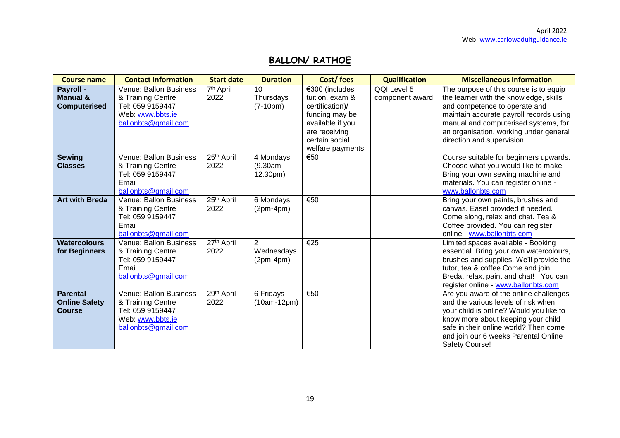# **BALLON/ RATHOE**

| <b>Course name</b>                                       | <b>Contact Information</b>                                                                                 | <b>Start date</b>             | <b>Duration</b>                             | Cost/fees                                                                                                                                         | <b>Qualification</b>           | <b>Miscellaneous Information</b>                                                                                                                                                                                                                                            |
|----------------------------------------------------------|------------------------------------------------------------------------------------------------------------|-------------------------------|---------------------------------------------|---------------------------------------------------------------------------------------------------------------------------------------------------|--------------------------------|-----------------------------------------------------------------------------------------------------------------------------------------------------------------------------------------------------------------------------------------------------------------------------|
| Payroll -<br><b>Manual &amp;</b><br><b>Computerised</b>  | Venue: Ballon Business<br>& Training Centre<br>Tel: 059 9159447<br>Web: www.bbts.ie<br>ballonbts@gmail.com | 7 <sup>th</sup> April<br>2022 | 10 <sup>1</sup><br>Thursdays<br>$(7-10pm)$  | €300 (includes<br>tuition, exam &<br>certification)/<br>funding may be<br>available if you<br>are receiving<br>certain social<br>welfare payments | QQI Level 5<br>component award | The purpose of this course is to equip<br>the learner with the knowledge, skills<br>and competence to operate and<br>maintain accurate payroll records using<br>manual and computerised systems, for<br>an organisation, working under general<br>direction and supervision |
| <b>Sewing</b><br><b>Classes</b>                          | Venue: Ballon Business<br>& Training Centre<br>Tel: 059 9159447<br>Email<br>ballonbts@gmail.com            | 25th April<br>2022            | 4 Mondays<br>$(9.30am -$<br>12.30pm)        | €50                                                                                                                                               |                                | Course suitable for beginners upwards.<br>Choose what you would like to make!<br>Bring your own sewing machine and<br>materials. You can register online -<br>www.ballonbts.com                                                                                             |
| <b>Art with Breda</b>                                    | Venue: Ballon Business<br>& Training Centre<br>Tel: 059 9159447<br>Email<br>ballonbts@gmail.com            | 25th April<br>2022            | 6 Mondays<br>$(2pm-4pm)$                    | €50                                                                                                                                               |                                | Bring your own paints, brushes and<br>canvas. Easel provided if needed.<br>Come along, relax and chat. Tea &<br>Coffee provided. You can register<br>online - www.ballonbts.com                                                                                             |
| <b>Watercolours</b><br>for Beginners                     | Venue: Ballon Business<br>& Training Centre<br>Tel: 059 9159447<br>Email<br>ballonbts@gmail.com            | 27th April<br>2022            | $\overline{2}$<br>Wednesdays<br>$(2pm-4pm)$ | €25                                                                                                                                               |                                | Limited spaces available - Booking<br>essential. Bring your own watercolours,<br>brushes and supplies. We'll provide the<br>tutor, tea & coffee Come and join<br>Breda, relax, paint and chat! You can<br>register online - www.ballonbts.com                               |
| <b>Parental</b><br><b>Online Safety</b><br><b>Course</b> | Venue: Ballon Business<br>& Training Centre<br>Tel: 059 9159447<br>Web: www.bbts.ie<br>ballonbts@gmail.com | 29th April<br>2022            | 6 Fridays<br>$(10am-12pm)$                  | €50                                                                                                                                               |                                | Are you aware of the online challenges<br>and the various levels of risk when<br>your child is online? Would you like to<br>know more about keeping your child<br>safe in their online world? Then come<br>and join our 6 weeks Parental Online<br>Safety Course!           |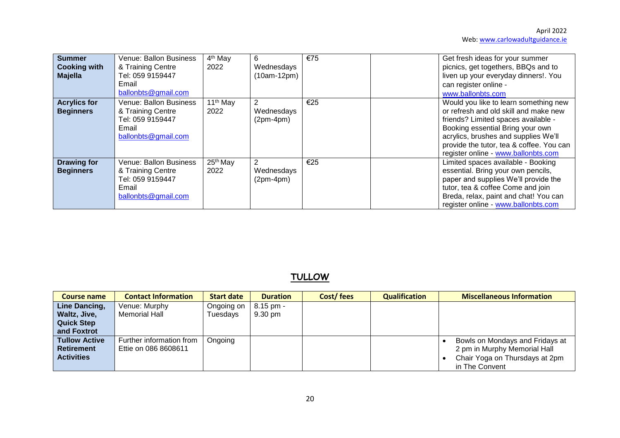| <b>Summer</b><br><b>Cooking with</b><br><b>Majella</b> | Venue: Ballon Business<br>& Training Centre<br>Tel: 059 9159447<br>Email<br>ballonbts@gmail.com | 4 <sup>th</sup> May<br>2022  | 6<br>Wednesdays<br>$(10am-12pm)$ | €75 | Get fresh ideas for your summer<br>picnics, get togethers, BBQs and to<br>liven up your everyday dinners!. You<br>can register online -<br>www.ballonbts.com                                                                                                                         |
|--------------------------------------------------------|-------------------------------------------------------------------------------------------------|------------------------------|----------------------------------|-----|--------------------------------------------------------------------------------------------------------------------------------------------------------------------------------------------------------------------------------------------------------------------------------------|
| <b>Acrylics for</b><br><b>Beginners</b>                | Venue: Ballon Business<br>& Training Centre<br>Tel: 059 9159447<br>Email<br>ballonbts@gmail.com | 11 <sup>th</sup> May<br>2022 | 2<br>Wednesdays<br>$(2pm-4pm)$   | €25 | Would you like to learn something new<br>or refresh and old skill and make new<br>friends? Limited spaces available -<br>Booking essential Bring your own<br>acrylics, brushes and supplies We'll<br>provide the tutor, tea & coffee. You can<br>register online - www.ballonbts.com |
| <b>Drawing for</b><br><b>Beginners</b>                 | Venue: Ballon Business<br>& Training Centre<br>Tel: 059 9159447<br>Email<br>ballonbts@gmail.com | 25 <sup>th</sup> May<br>2022 | Wednesdays<br>$(2pm-4pm)$        | €25 | Limited spaces available - Booking<br>essential. Bring your own pencils,<br>paper and supplies We'll provide the<br>tutor, tea & coffee Come and join<br>Breda, relax, paint and chat! You can<br>register online - www.ballonbts.com                                                |

## **TULLOW**

| <b>Course name</b>   | <b>Contact Information</b> | <b>Start date</b> | <b>Duration</b>   | Cost/fees | <b>Qualification</b> | <b>Miscellaneous Information</b> |
|----------------------|----------------------------|-------------------|-------------------|-----------|----------------------|----------------------------------|
| Line Dancing,        | Venue: Murphy              | Ongoing on        | $8.15$ pm -       |           |                      |                                  |
| Waltz, Jive,         | Memorial Hall              | Tuesdays          | $9.30 \text{ pm}$ |           |                      |                                  |
| <b>Quick Step</b>    |                            |                   |                   |           |                      |                                  |
| and Foxtrot          |                            |                   |                   |           |                      |                                  |
| <b>Tullow Active</b> | Further information from   | Ongoing           |                   |           |                      | Bowls on Mondays and Fridays at  |
| <b>Retirement</b>    | Ettie on 086 8608611       |                   |                   |           |                      | 2 pm in Murphy Memorial Hall     |
| <b>Activities</b>    |                            |                   |                   |           |                      | Chair Yoga on Thursdays at 2pm   |
|                      |                            |                   |                   |           |                      | in The Convent                   |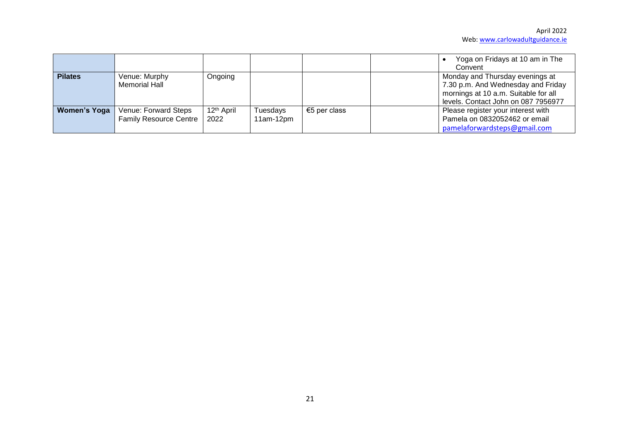|                     |                               |                        |             |              | Yoga on Fridays at 10 am in The<br>Convent |
|---------------------|-------------------------------|------------------------|-------------|--------------|--------------------------------------------|
| <b>Pilates</b>      | Venue: Murphy                 | Ongoing                |             |              | Monday and Thursday evenings at            |
|                     | Memorial Hall                 |                        |             |              | 7.30 p.m. And Wednesday and Friday         |
|                     |                               |                        |             |              | mornings at 10 a.m. Suitable for all       |
|                     |                               |                        |             |              | levels. Contact John on 087 7956977        |
| <b>Women's Yoga</b> | Venue: Forward Steps          | 12 <sup>th</sup> April | Tuesdays    | €5 per class | Please register your interest with         |
|                     | <b>Family Resource Centre</b> | 2022                   | $11am-12pm$ |              | Pamela on 0832052462 or email              |
|                     |                               |                        |             |              | pamelaforwardsteps@gmail.com               |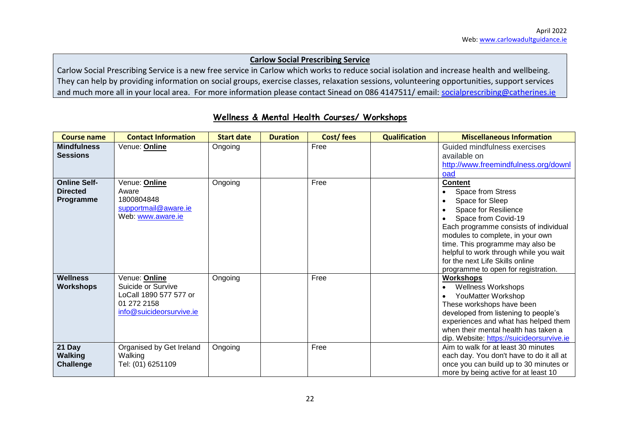#### **Carlow Social Prescribing Service**

Carlow Social Prescribing Service is a new free service in Carlow which works to reduce social isolation and increase health and wellbeing. They can help by providing information on social groups, exercise classes, relaxation sessions, volunteering opportunities, support services and much more all in your local area. For more information please contact Sinead on 086 4147511/ email: [socialprescribing@catherines.ie](mailto:socialprescribing@catherines.ie)

| <b>Course name</b>                                  | <b>Contact Information</b>                                                                               | <b>Start date</b> | <b>Duration</b> | Cost/fees | <b>Qualification</b> | <b>Miscellaneous Information</b>                                                                                                                                                                                                                                                                                                           |
|-----------------------------------------------------|----------------------------------------------------------------------------------------------------------|-------------------|-----------------|-----------|----------------------|--------------------------------------------------------------------------------------------------------------------------------------------------------------------------------------------------------------------------------------------------------------------------------------------------------------------------------------------|
| <b>Mindfulness</b><br><b>Sessions</b>               | Venue: Online                                                                                            | Ongoing           |                 | Free      |                      | Guided mindfulness exercises<br>available on<br>http://www.freemindfulness.org/downl<br>oad                                                                                                                                                                                                                                                |
| <b>Online Self-</b><br><b>Directed</b><br>Programme | Venue: Online<br>Aware<br>1800804848<br>supportmail@aware.ie<br>Web: www.aware.ie                        | Ongoing           |                 | Free      |                      | <b>Content</b><br>Space from Stress<br>Space for Sleep<br>Space for Resilience<br>Space from Covid-19<br>Each programme consists of individual<br>modules to complete, in your own<br>time. This programme may also be<br>helpful to work through while you wait<br>for the next Life Skills online<br>programme to open for registration. |
| <b>Wellness</b><br><b>Workshops</b>                 | Venue: Online<br>Suicide or Survive<br>LoCall 1890 577 577 or<br>01 272 2158<br>info@suicideorsurvive.ie | Ongoing           |                 | Free      |                      | <b>Workshops</b><br><b>Wellness Workshops</b><br>YouMatter Workshop<br>These workshops have been<br>developed from listening to people's<br>experiences and what has helped them<br>when their mental health has taken a<br>dip. Website: https://suicideorsurvive.ie                                                                      |
| 21 Day<br>Walking<br><b>Challenge</b>               | Organised by Get Ireland<br>Walking<br>Tel: (01) 6251109                                                 | Ongoing           |                 | Free      |                      | Aim to walk for at least 30 minutes<br>each day. You don't have to do it all at<br>once you can build up to 30 minutes or<br>more by being active for at least 10                                                                                                                                                                          |

### **Wellness & Mental Health Courses/ Workshops**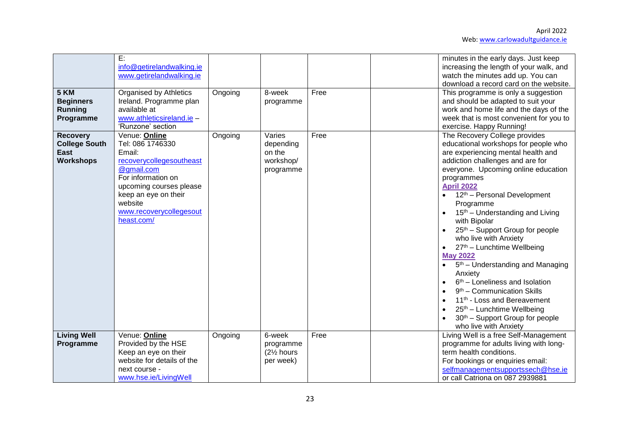| 5 KM<br><b>Beginners</b><br><b>Running</b><br>Programme                    | E:<br>info@getirelandwalking.ie<br>www.getirelandwalking.ie<br><b>Organised by Athletics</b><br>Ireland. Programme plan<br>available at<br>www.athleticsireland.ie -<br>'Runzone' section                          | Ongoing | 8-week<br>programme                                         | Free | minutes in the early days. Just keep<br>increasing the length of your walk, and<br>watch the minutes add up. You can<br>download a record card on the website.<br>This programme is only a suggestion<br>and should be adapted to suit your<br>work and home life and the days of the<br>week that is most convenient for you to<br>exercise. Happy Running!                                                                                                                                                                                                                                                                                                                                                                                    |
|----------------------------------------------------------------------------|--------------------------------------------------------------------------------------------------------------------------------------------------------------------------------------------------------------------|---------|-------------------------------------------------------------|------|-------------------------------------------------------------------------------------------------------------------------------------------------------------------------------------------------------------------------------------------------------------------------------------------------------------------------------------------------------------------------------------------------------------------------------------------------------------------------------------------------------------------------------------------------------------------------------------------------------------------------------------------------------------------------------------------------------------------------------------------------|
| <b>Recovery</b><br><b>College South</b><br><b>East</b><br><b>Workshops</b> | Venue: Online<br>Tel: 086 1746330<br>Email:<br>recoverycollegesoutheast<br>@gmail.com<br>For information on<br>upcoming courses please<br>keep an eye on their<br>website<br>www.recoverycollegesout<br>heast.com/ | Ongoing | Varies<br>depending<br>on the<br>workshop/<br>programme     | Free | The Recovery College provides<br>educational workshops for people who<br>are experiencing mental health and<br>addiction challenges and are for<br>everyone. Upcoming online education<br>programmes<br><b>April 2022</b><br>12 <sup>th</sup> - Personal Development<br>Programme<br>15 <sup>th</sup> – Understanding and Living<br>with Bipolar<br>25 <sup>th</sup> – Support Group for people<br>who live with Anxiety<br>27th - Lunchtime Wellbeing<br><b>May 2022</b><br>$5th$ – Understanding and Managing<br>Anxiety<br>$6th$ – Loneliness and Isolation<br>$9th$ – Communication Skills<br>11 <sup>th</sup> - Loss and Bereavement<br>25th - Lunchtime Wellbeing<br>30 <sup>th</sup> – Support Group for people<br>who live with Anxiety |
| <b>Living Well</b><br>Programme                                            | Venue: Online<br>Provided by the HSE<br>Keep an eye on their<br>website for details of the<br>next course -<br>www.hse.ie/LivingWell                                                                               | Ongoing | 6-week<br>programme<br>(21/ <sub>2</sub> hours<br>per week) | Free | Living Well is a free Self-Management<br>programme for adults living with long-<br>term health conditions.<br>For bookings or enquiries email:<br>selfmanagementsupportssech@hse.ie<br>or call Catriona on 087 2939881                                                                                                                                                                                                                                                                                                                                                                                                                                                                                                                          |